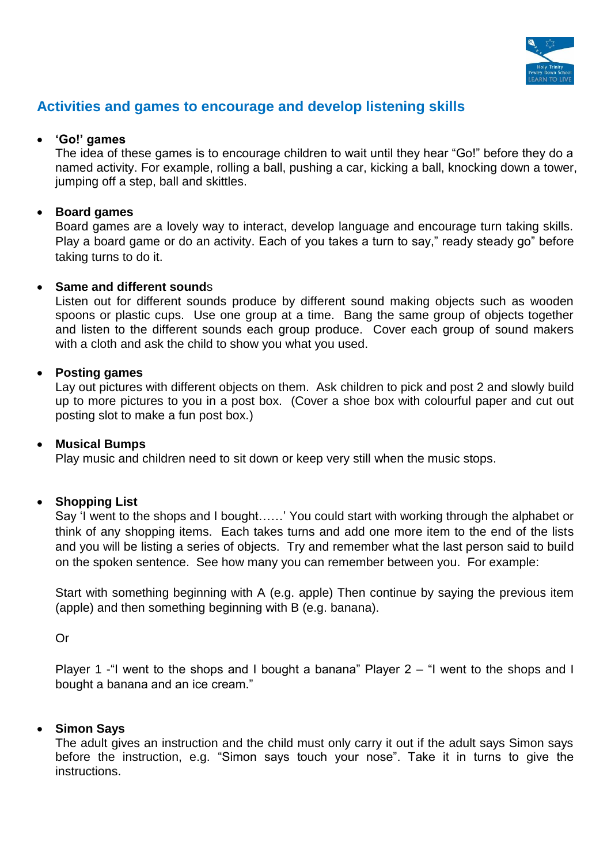

# **Activities and games to encourage and develop listening skills**

## **'Go!' games**

The idea of these games is to encourage children to wait until they hear "Go!" before they do a named activity. For example, rolling a ball, pushing a car, kicking a ball, knocking down a tower, jumping off a step, ball and skittles.

## **Board games**

Board games are a lovely way to interact, develop language and encourage turn taking skills. Play a board game or do an activity. Each of you takes a turn to say," ready steady go" before taking turns to do it.

### **Same and different sound**s

Listen out for different sounds produce by different sound making objects such as wooden spoons or plastic cups. Use one group at a time. Bang the same group of objects together and listen to the different sounds each group produce. Cover each group of sound makers with a cloth and ask the child to show you what you used.

## **Posting games**

Lay out pictures with different objects on them. Ask children to pick and post 2 and slowly build up to more pictures to you in a post box. (Cover a shoe box with colourful paper and cut out posting slot to make a fun post box.)

### **Musical Bumps**

Play music and children need to sit down or keep very still when the music stops.

# **Shopping List**

Say 'I went to the shops and I bought……' You could start with working through the alphabet or think of any shopping items. Each takes turns and add one more item to the end of the lists and you will be listing a series of objects. Try and remember what the last person said to build on the spoken sentence. See how many you can remember between you. For example:

Start with something beginning with A (e.g. apple) Then continue by saying the previous item (apple) and then something beginning with B (e.g. banana).

Or

Player 1 -"I went to the shops and I bought a banana" Player  $2 -$  "I went to the shops and I bought a banana and an ice cream."

### **Simon Says**

The adult gives an instruction and the child must only carry it out if the adult says Simon says before the instruction, e.g. "Simon says touch your nose". Take it in turns to give the instructions.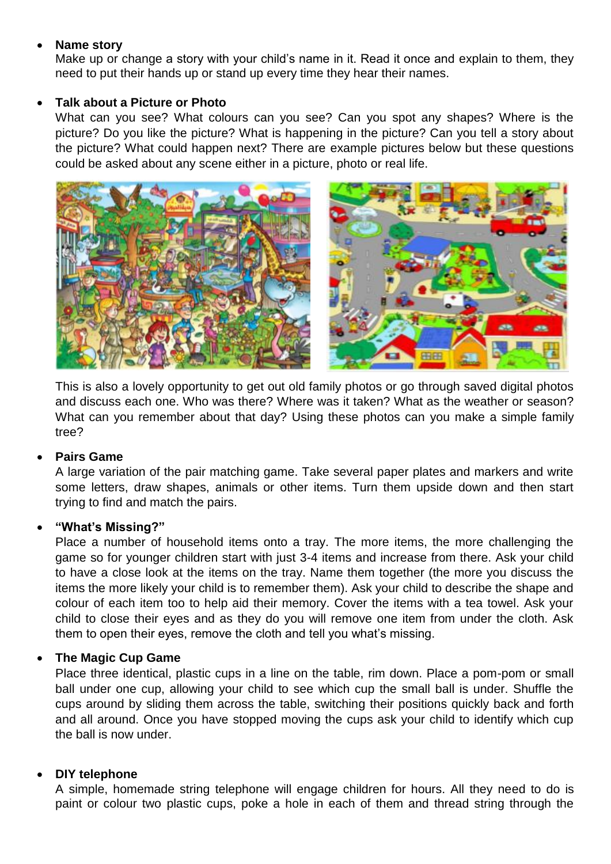## **Name story**

Make up or change a story with your child's name in it. Read it once and explain to them, they need to put their hands up or stand up every time they hear their names.

## **Talk about a Picture or Photo**

What can you see? What colours can you see? Can you spot any shapes? Where is the picture? Do you like the picture? What is happening in the picture? Can you tell a story about the picture? What could happen next? There are example pictures below but these questions could be asked about any scene either in a picture, photo or real life.



This is also a lovely opportunity to get out old family photos or go through saved digital photos and discuss each one. Who was there? Where was it taken? What as the weather or season? What can you remember about that day? Using these photos can you make a simple family tree?

# **Pairs Game**

A large variation of the pair matching game. Take several paper plates and markers and write some letters, draw shapes, animals or other items. Turn them upside down and then start trying to find and match the pairs.

### **"What's Missing?"**

Place a number of household items onto a tray. The more items, the more challenging the game so for younger children start with just 3-4 items and increase from there. Ask your child to have a close look at the items on the tray. Name them together (the more you discuss the items the more likely your child is to remember them). Ask your child to describe the shape and colour of each item too to help aid their memory. Cover the items with a tea towel. Ask your child to close their eyes and as they do you will remove one item from under the cloth. Ask them to open their eyes, remove the cloth and tell you what's missing.

# **The Magic Cup Game**

Place three identical, plastic cups in a line on the table, rim down. Place a pom-pom or small ball under one cup, allowing your child to see which cup the small ball is under. Shuffle the cups around by sliding them across the table, switching their positions quickly back and forth and all around. Once you have stopped moving the cups ask your child to identify which cup the ball is now under.

### **DIY telephone**

A simple, homemade string telephone will engage children for hours. All they need to do is paint or colour two plastic cups, poke a hole in each of them and thread string through the